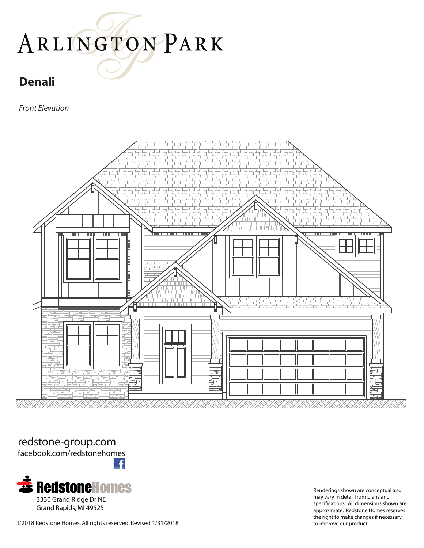#### **Denali**

*Front Elevation*



redstone-group.com

facebook.com/redstonehomes



Renderings shown are conceptual and may vary in detail from plans and specifications. All dimensions shown are approximate. Redstone Homes reserves the right to make changes if necessary

©2018 Redstone Homes. All rights reserved. Revised 1/31/2018 to improve our product.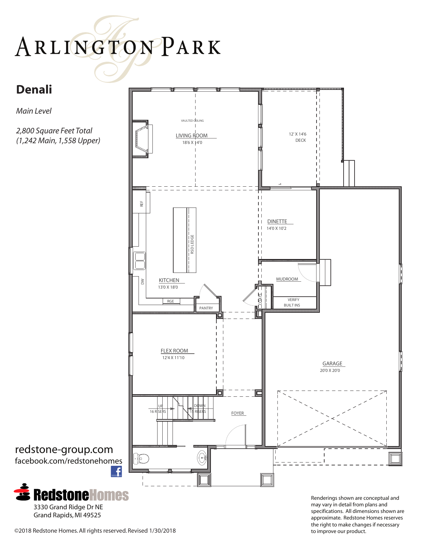#### **Denali**

*Main Level*

*2,800 Square Feet Total (1,242 Main, 1,558 Upper)*



may vary in detail from plans and specifications. All dimensions shown are approximate. Redstone Homes reserves the right to make changes if necessary



Grand Rapids, MI 49525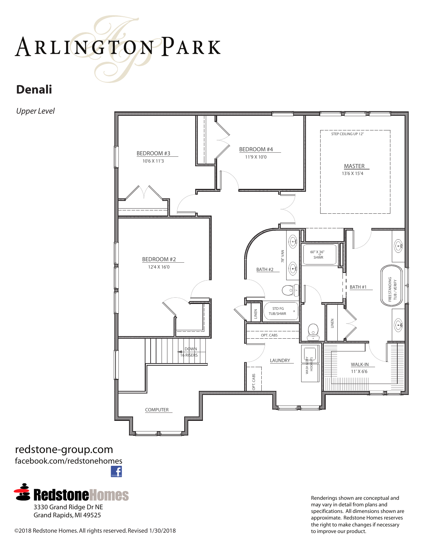### **Denali**

*Upper Level*



redstone-group.com facebook.com/redstonehomes £



Renderings shown are conceptual and may vary in detail from plans and specifications. All dimensions shown are approximate. Redstone Homes reserves the right to make changes if necessary

©2018 Redstone Homes. All rights reserved. Revised 1/30/2018 to improve our product.